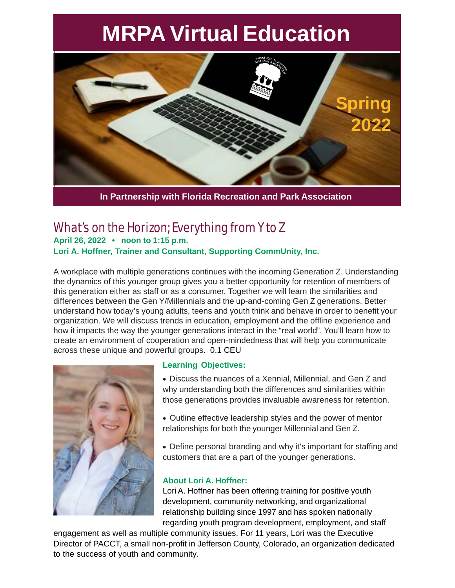# **MRPA Virtual Education**



**In Partnership with Florida Recreation and Park Association**

### What's on the Horizon; Everything from Y to Z

**April 26, 2022 • noon to 1:15 p.m. Lori A. Hoffner, Trainer and Consultant, Supporting CommUnity, Inc.**

A workplace with multiple generations continues with the incoming Generation Z. Understanding the dynamics of this younger group gives you a better opportunity for retention of members of this generation either as staff or as a consumer. Together we will learn the similarities and differences between the Gen Y/Millennials and the up-and-coming Gen Z generations. Better understand how today's young adults, teens and youth think and behave in order to benefit your organization. We will discuss trends in education, employment and the offline experience and how it impacts the way the younger generations interact in the "real world". You'll learn how to create an environment of cooperation and open-mindedness that will help you communicate across these unique and powerful groups. 0.1 CEU



#### **Learning Objectives:**

- Discuss the nuances of a Xennial, Millennial, and Gen Z and why understanding both the differences and similarities within those generations provides invaluable awareness for retention.
- Outline effective leadership styles and the power of mentor relationships for both the younger Millennial and Gen Z.
- Define personal branding and why it's important for staffing and customers that are a part of the younger generations.

#### **About Lori A. Hoffner:**

Lori A. Hoffner has been offering training for positive youth development, community networking, and organizational relationship building since 1997 and has spoken nationally regarding youth program development, employment, and staff

engagement as well as multiple community issues. For 11 years, Lori was the Executive Director of PACCT, a small non-profit in Jefferson County, Colorado, an organization dedicated to the success of youth and community.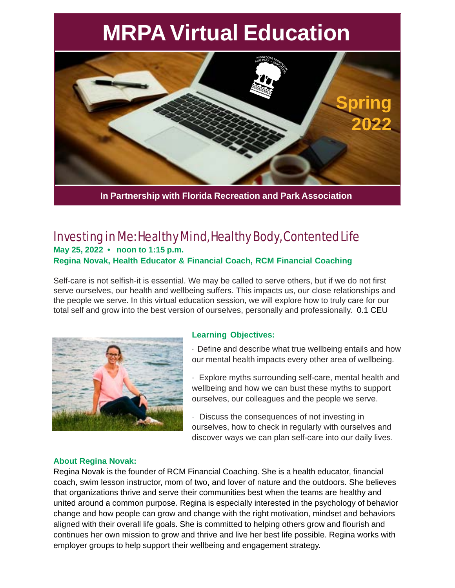# **MRPA Virtual Education**



**In Partnership with Florida Recreation and Park Association**

### Investing in Me: Healthy Mind, Healthy Body, Contented Life **May 25, 2022 • noon to 1:15 p.m. Regina Novak, Health Educator & Financial Coach, RCM Financial Coaching**

Self-care is not selfish-it is essential. We may be called to serve others, but if we do not first serve ourselves, our health and wellbeing suffers. This impacts us, our close relationships and the people we serve. In this virtual education session, we will explore how to truly care for our total self and grow into the best version of ourselves, personally and professionally. 0.1 CEU



#### **Learning Objectives:**

· Define and describe what true wellbeing entails and how our mental health impacts every other area of wellbeing.

· Explore myths surrounding self-care, mental health and wellbeing and how we can bust these myths to support ourselves, our colleagues and the people we serve.

· Discuss the consequences of not investing in ourselves, how to check in regularly with ourselves and discover ways we can plan self-care into our daily lives.

#### **About Regina Novak:**

Regina Novak is the founder of RCM Financial Coaching. She is a health educator, financial coach, swim lesson instructor, mom of two, and lover of nature and the outdoors. She believes that organizations thrive and serve their communities best when the teams are healthy and united around a common purpose. Regina is especially interested in the psychology of behavior change and how people can grow and change with the right motivation, mindset and behaviors aligned with their overall life goals. She is committed to helping others grow and flourish and continues her own mission to grow and thrive and live her best life possible. Regina works with employer groups to help support their wellbeing and engagement strategy.